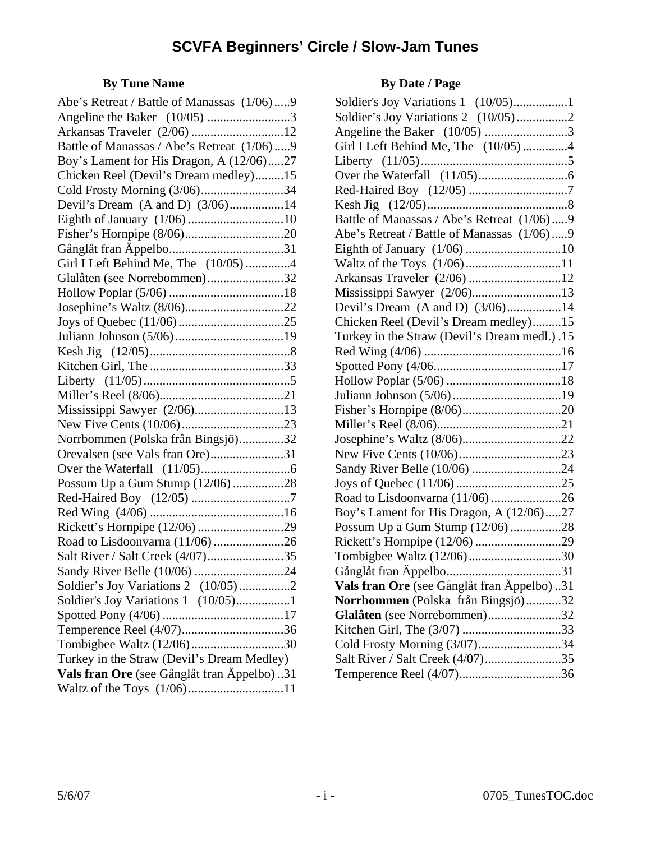#### **SCVFA Beginners' Circle / Slow-Jam Tunes**

#### **By Tune Name**

| Abe's Retreat / Battle of Manassas (1/06)9 |
|--------------------------------------------|
|                                            |
|                                            |
| Battle of Manassas / Abe's Retreat (1/06)9 |
| Boy's Lament for His Dragon, A (12/06)27   |
| Chicken Reel (Devil's Dream medley)15      |
| Cold Frosty Morning (3/06)34               |
| Devil's Dream (A and D) (3/06)14           |
| Eighth of January (1/06) 10                |
|                                            |
|                                            |
| Girl I Left Behind Me, The (10/05)4        |
| Glalåten (see Norrebommen)32               |
|                                            |
|                                            |
|                                            |
|                                            |
|                                            |
|                                            |
|                                            |
|                                            |
| Mississippi Sawyer (2/06)13                |
|                                            |
| Norrbommen (Polska från Bingsjö)32         |
| Orevalsen (see Vals fran Ore)31            |
|                                            |
| Possum Up a Gum Stump (12/06)28            |
|                                            |
|                                            |
| Rickett's Hornpipe (12/06) 29              |
| Road to Lisdoonvarna (11/06)26             |
| Salt River / Salt Creek (4/07)35           |
|                                            |
| Soldier's Joy Variations 2 (10/05)2        |
| Soldier's Joy Variations 1 (10/05)1        |
|                                            |
| Temperence Reel (4/07)36                   |
| Tombigbee Waltz (12/06)30                  |
| Turkey in the Straw (Devil's Dream Medley) |
| Vals fran Ore (see Gånglåt fran Äppelbo)31 |
|                                            |

Soldier's Joy Variations 2 (10/05) ................2 Angeline the Baker (10/05) ..........................3 Girl I Left Behind Me, The (10/05) ..............4 Liberty (11/05)..............................................5 Over the Waterfall (11/05)............................6 Red-Haired Boy (12/05) ...............................7 Kesh Jig (12/05)............................................8 Battle of Manassas / Abe's Retreat (1/06) .....9 Abe's Retreat / Battle of Manassas (1/06) .....9 Eighth of January (1/06) ..............................10 Waltz of the Toys (1/06)..............................11 Arkansas Traveler (2/06) .............................12 Mississippi Sawyer (2/06)............................13 Devil's Dream (A and D) (3/06).................14 Chicken Reel (Devil's Dream medley).........15 Turkey in the Straw (Devil's Dream medl.) .15 Red Wing (4/06) ...........................................16 Spotted Pony (4/06........................................17 Hollow Poplar (5/06) ....................................18 Juliann Johnson (5/06) ..................................19 Fisher's Hornpipe (8/06)...............................20 Miller's Reel (8/06).......................................21 Josephine's Waltz (8/06)...............................22 New Five Cents (10/06)................................23 Sandy River Belle (10/06) ............................24 Joys of Quebec (11/06) .................................25 Road to Lisdoonvarna (11/06) ......................26 Boy's Lament for His Dragon, A (12/06).....27 Possum Up a Gum Stump (12/06) ................28 Rickett's Hornpipe (12/06) ...........................29 Tombigbee Waltz (12/06).............................30 Gånglåt fran Äppelbo....................................31 **Vals fran Ore** (see Gånglåt fran Äppelbo) ..31 **Norrbommen** (Polska från Bingsjö)...........32 **Glalåten** (see Norrebommen).......................32 Kitchen Girl, The (3/07) ...............................33 Cold Frosty Morning (3/07)..........................34 Salt River / Salt Creek (4/07)........................35 Temperence Reel (4/07)................................36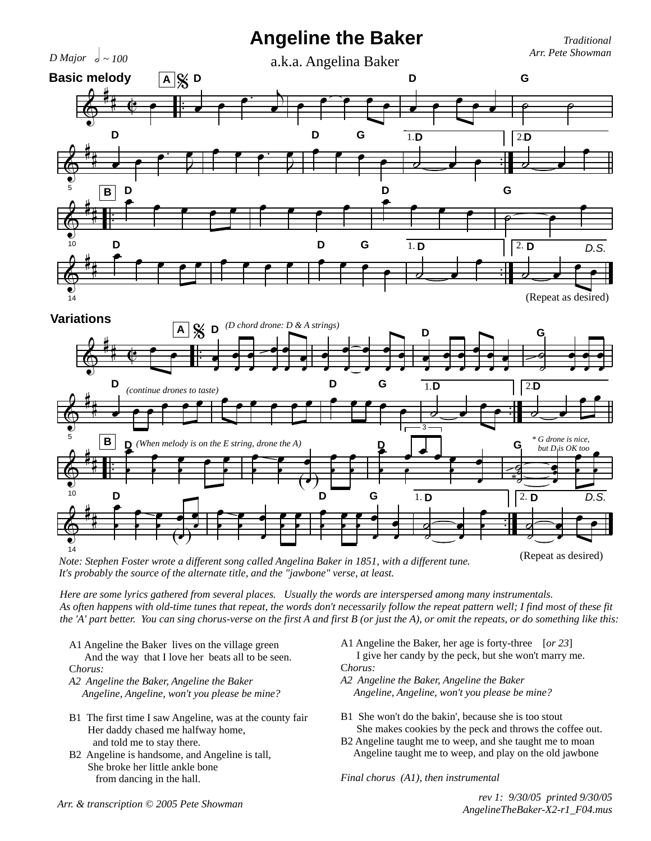

*It's probably the source of the alternate title, and the "jawbone" verse, at least.*

*Here are some lyrics gathered from several places. Usually the words are interspersed among many instrumentals. As often happens with old-time tunes that repeat, the words don't necessarily follow the repeat pattern well; I find most of these fit the 'A' part better. You can sing chorus-verse on the first A and first B (or just the A), or omit the repeats, or do something like this:*

A1 Angeline the Baker lives on the village green And the way that I love her beats all to be seen. C*horus:*

*A2 Angeline the Baker, Angeline the Baker Angeline, Angeline, won't you please be mine?*

- B1 The first time I saw Angeline, was at the county fair Her daddy chased me halfway home, and told me to stay there.
- B2 Angeline is handsome, and Angeline is tall, She broke her little ankle bone from dancing in the hall.

A1 Angeline the Baker, her age is forty-three [*or 23*] I give her candy by the peck, but she won't marry me. C*horus:*

*A2 Angeline the Baker, Angeline the Baker Angeline, Angeline, won't you please be mine?*

- B1 She won't do the bakin', because she is too stout She makes cookies by the peck and throws the coffee out.
- B2 Angeline taught me to weep, and she taught me to moan Angeline taught me to weep, and play on the old jawbone

*Final chorus (A1), then instrumental*

*rev 1: 9/30/05 printed 9/30/05 AngelineTheBaker-X2-r1\_F04.mus Arr. & transcription © 2005 Pete Showman*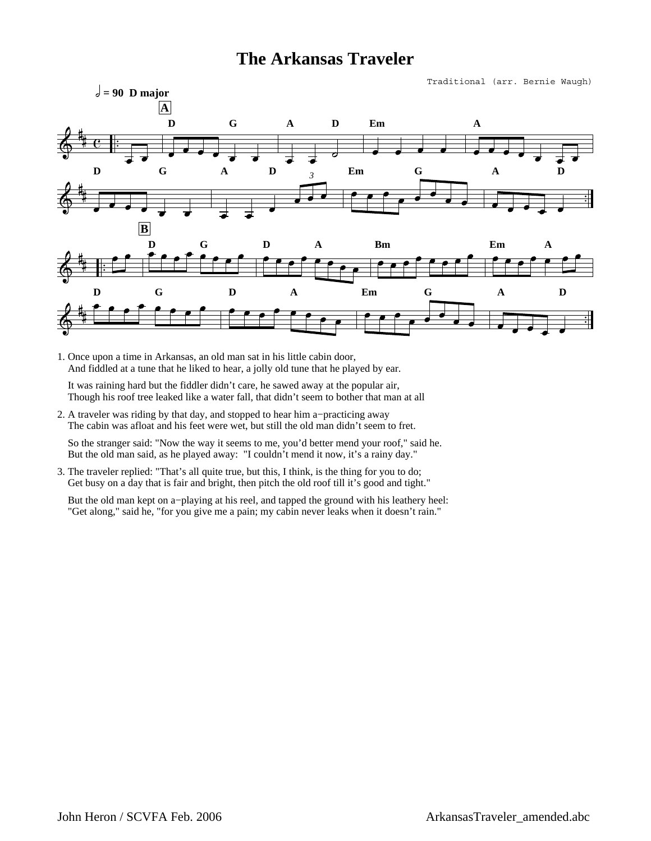#### **The Arkansas Traveler**

Traditional (arr. Bernie Waugh)



1. Once upon a time in Arkansas, an old man sat in his little cabin door, And fiddled at a tune that he liked to hear, a jolly old tune that he played by ear.

 It was raining hard but the fiddler didn't care, he sawed away at the popular air, Though his roof tree leaked like a water fall, that didn't seem to bother that man at all

2. A traveler was riding by that day, and stopped to hear him a−practicing away The cabin was afloat and his feet were wet, but still the old man didn't seem to fret.

 So the stranger said: "Now the way it seems to me, you'd better mend your roof," said he. But the old man said, as he played away: "I couldn't mend it now, it's a rainy day."

3. The traveler replied: "That's all quite true, but this, I think, is the thing for you to do; Get busy on a day that is fair and bright, then pitch the old roof till it's good and tight."

 But the old man kept on a−playing at his reel, and tapped the ground with his leathery heel: "Get along," said he, "for you give me a pain; my cabin never leaks when it doesn't rain."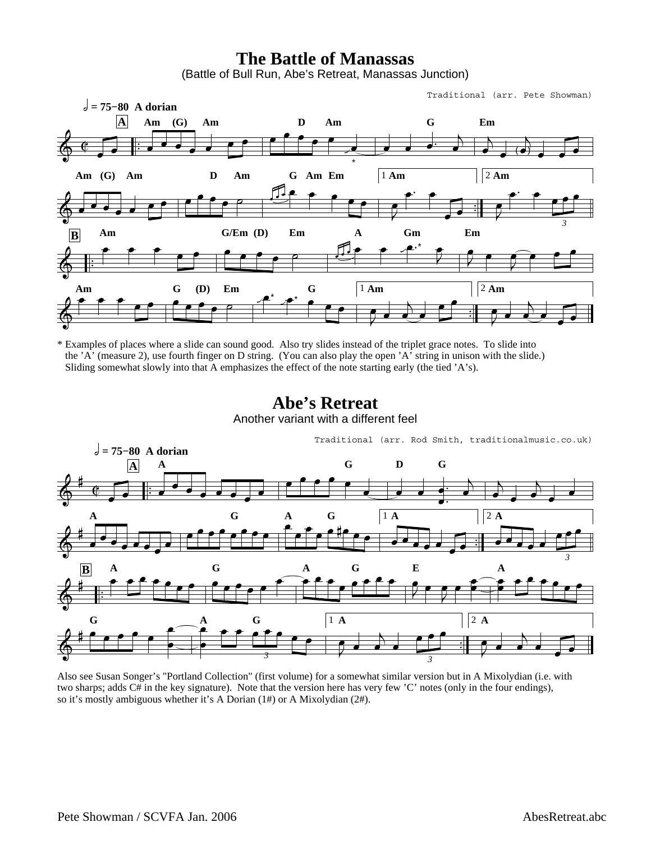**The Battle of Manassas**

(Battle of Bull Run, Abe's Retreat, Manassas Junction)



\* Examples of places where a slide can sound good. Also try slides instead of the triplet grace notes. To slide into the 'A' (measure 2), use fourth finger on D string. (You can also play the open 'A' string in unison with the slide.) Sliding somewhat slowly into that A emphasizes the effect of the note starting early (the tied 'A's).

#### **Abe's Retreat** Another variant with a different feel

Traditional (arr. Rod Smith, traditionalmusic.co.uk)



Also see Susan Songer's "Portland Collection" (first volume) for a somewhat similar version but in A Mixolydian (i.e. with two sharps; adds C# in the key signature). Note that the version here has very few 'C' notes (only in the four endings), so it's mostly ambiguous whether it's A Dorian (1#) or A Mixolydian (2#).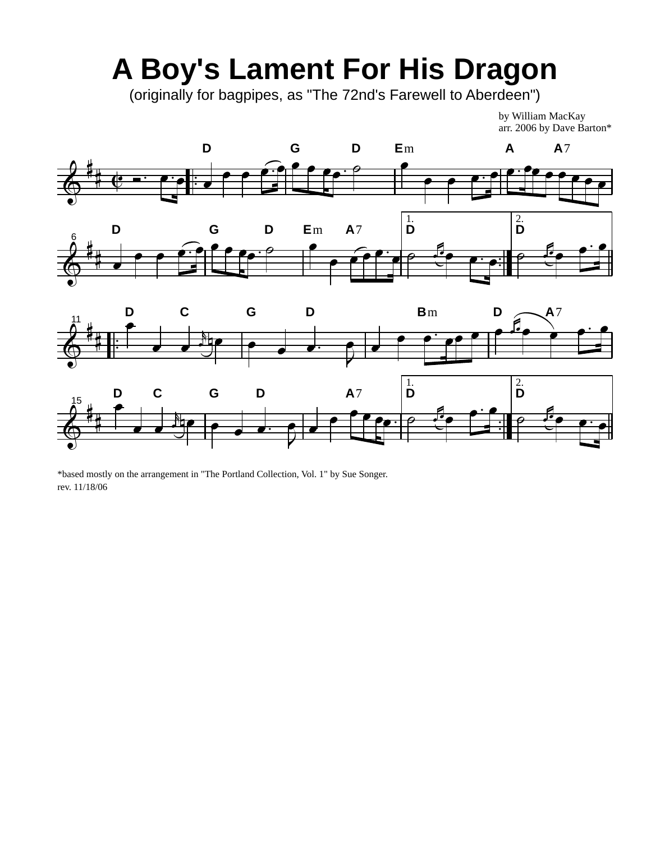# **A Boy's Lament For His Dragon**

(originally for bagpipes, as "The 72nd's Farewell to Aberdeen")

by William MacKay arr. 2006 by Dave Barton\*



<sup>\*</sup>based mostly on the arrangement in "The Portland Collection, Vol. 1" by Sue Songer. rev. 11/18/06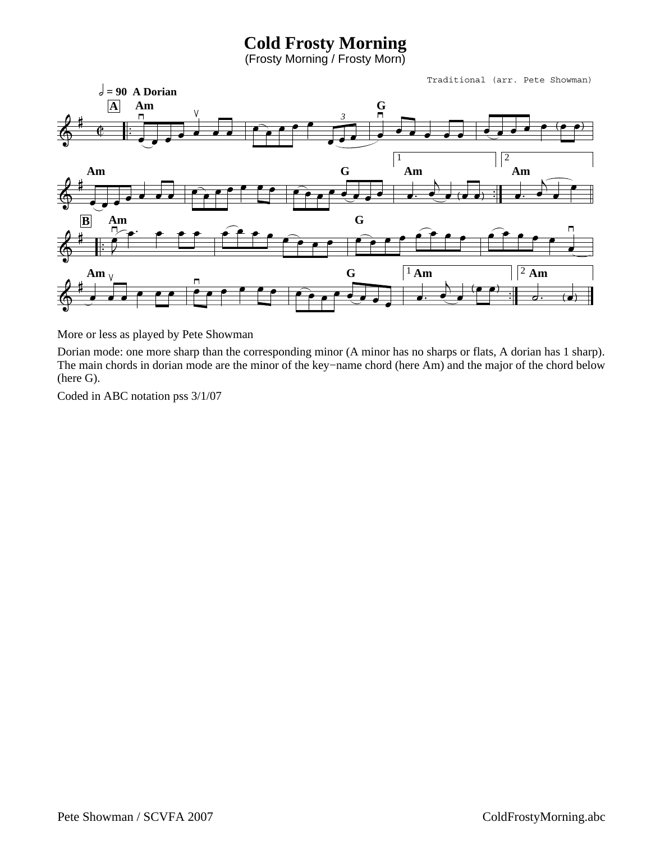## **Cold Frosty Morning**

(Frosty Morning / Frosty Morn)

Traditional (arr. Pete Showman)



More or less as played by Pete Showman

Dorian mode: one more sharp than the corresponding minor (A minor has no sharps or flats, A dorian has 1 sharp). The main chords in dorian mode are the minor of the key−name chord (here Am) and the major of the chord below (here G).

Coded in ABC notation pss 3/1/07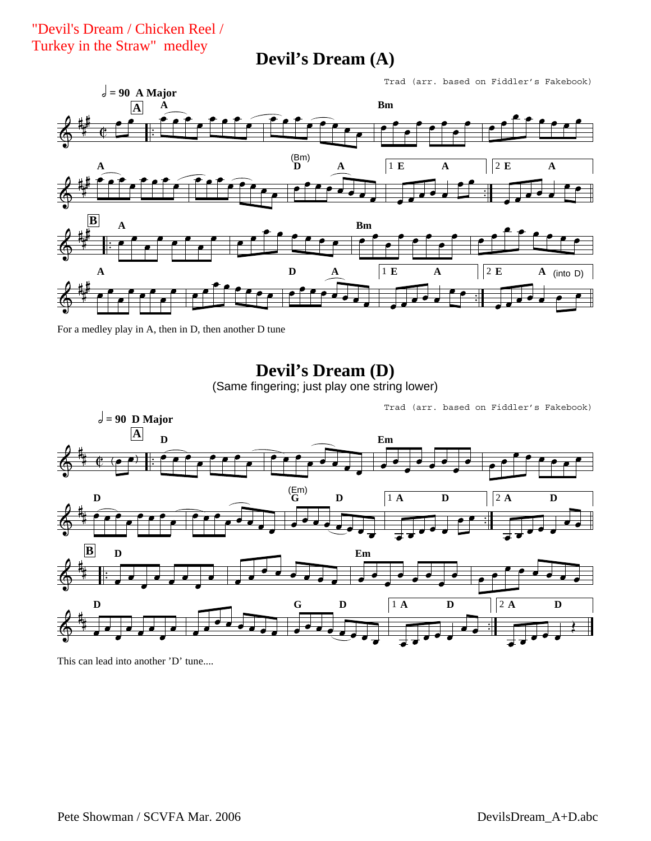#### "Devil's Dream / Chicken Reel / Turkey in the Straw" medley

### **Devil's Dream (A)**

Trad (arr. based on Fiddler's Fakebook)



For a medley play in A, then in D, then another D tune

**Devil's Dream (D)** (Same fingering; just play one string lower)

Trad (arr. based on Fiddler's Fakebook)



This can lead into another 'D' tune....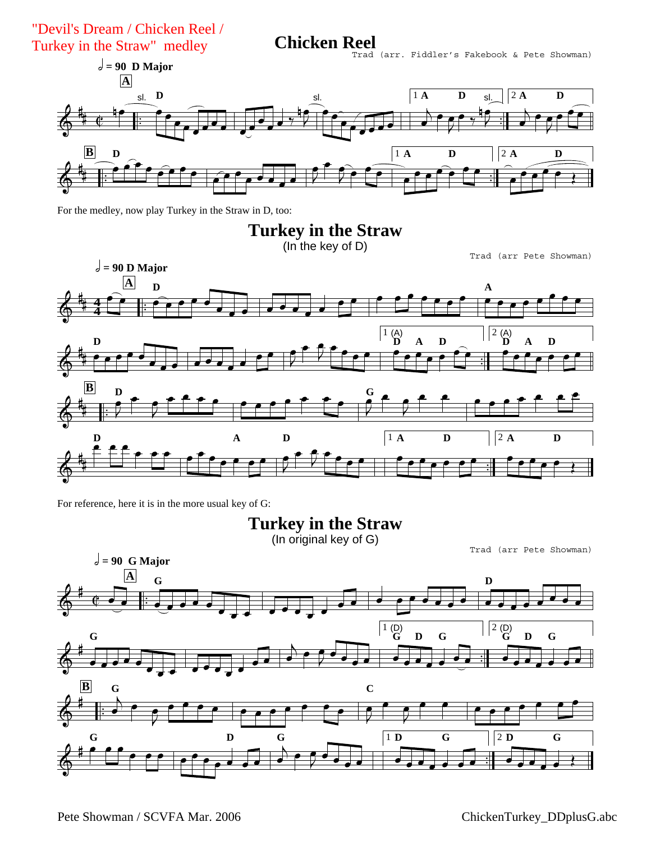"Devil's Dream / Chicken Reel / Turkey in the Straw" medley

**Chicken Reel**

Trad (arr. Fiddler's Fakebook & Pete Showman)



For the medley, now play Turkey in the Straw in D, too:



For reference, here it is in the more usual key of G:



Trad (arr Pete Showman) **= 90 G Major**  $\overline{\mathbf{A}}$  **G** D **G**  $\begin{bmatrix} 1 & (D) \\ G & G \end{bmatrix}$  $\begin{array}{|c|c|c|}\n\hline\n\textbf{D} & \textbf{G}\n\end{array}$   $\begin{array}{|c|c|c|c|}\n\hline\n\textbf{D} & \textbf{G}\n\end{array}$ **GD G**  $\boxed{1 \ (\mathsf{D})}$ **B G C G D G DG DG** 1 2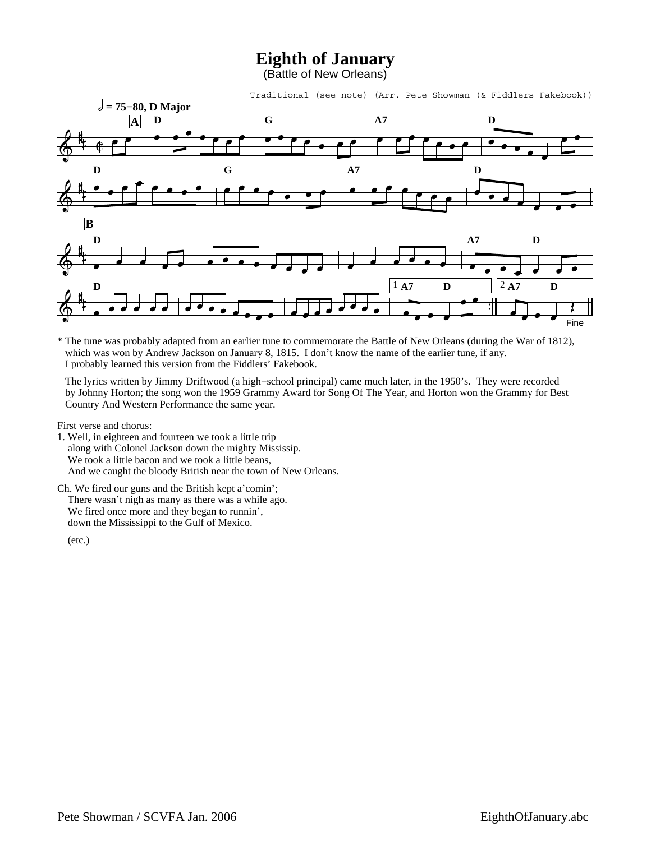# **Eighth of January**



(Battle of New Orleans)

Traditional (see note) (Arr. Pete Showman (& Fiddlers Fakebook))

\* The tune was probably adapted from an earlier tune to commemorate the Battle of New Orleans (during the War of 1812), which was won by Andrew Jackson on January 8, 1815. I don't know the name of the earlier tune, if any. I probably learned this version from the Fiddlers' Fakebook.

 The lyrics written by Jimmy Driftwood (a high−school principal) came much later, in the 1950's. They were recorded by Johnny Horton; the song won the 1959 Grammy Award for Song Of The Year, and Horton won the Grammy for Best Country And Western Performance the same year.

First verse and chorus:

- 1. Well, in eighteen and fourteen we took a little trip along with Colonel Jackson down the mighty Mississip. We took a little bacon and we took a little beans, And we caught the bloody British near the town of New Orleans.
- Ch. We fired our guns and the British kept a'comin'; There wasn't nigh as many as there was a while ago. We fired once more and they began to runnin', down the Mississippi to the Gulf of Mexico.

(etc.)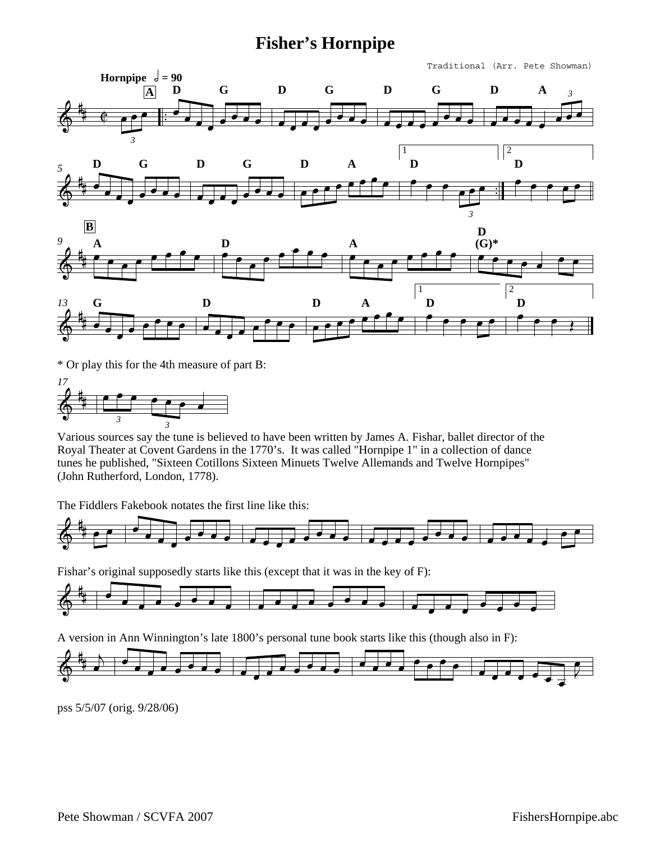### **Fisher's Hornpipe**

Traditional (Arr. Pete Showman)



\* Or play this for the 4th measure of part B:



Various sources say the tune is believed to have been written by James A. Fishar, ballet director of the Royal Theater at Covent Gardens in the 1770's. It was called "Hornpipe 1" in a collection of dance tunes he published, "Sixteen Cotillons Sixteen Minuets Twelve Allemands and Twelve Hornpipes" (John Rutherford, London, 1778).

The Fiddlers Fakebook notates the first line like this:



Fishar's original supposedly starts like this (except that it was in the key of F):



A version in Ann Winnington's late 1800's personal tune book starts like this (though also in F):



pss 5/5/07 (orig. 9/28/06)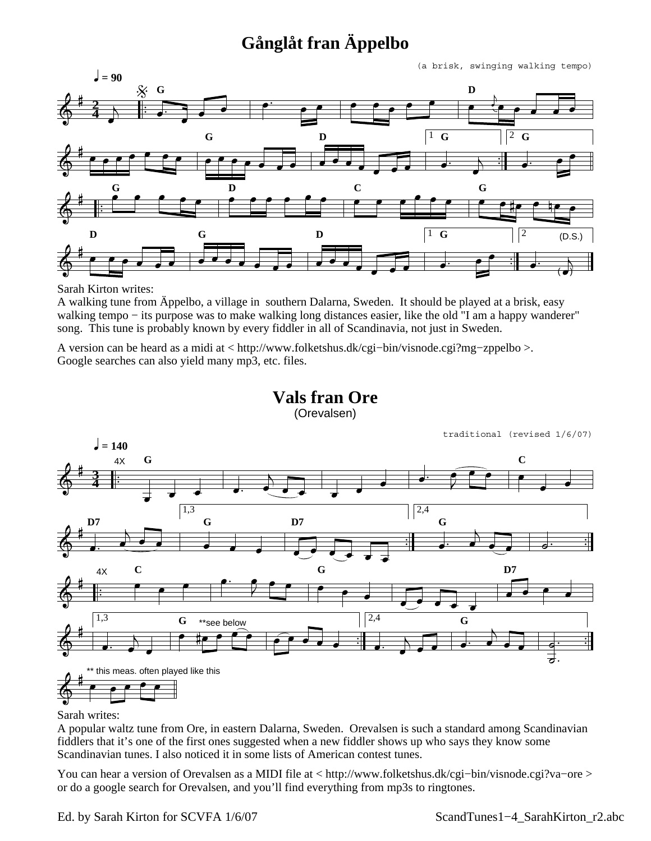# **Gånglåt fran Äppelbo**

(a brisk, swinging walking tempo)



Sarah Kirton writes:

A walking tune from Äppelbo, a village in southern Dalarna, Sweden. It should be played at a brisk, easy walking tempo – its purpose was to make walking long distances easier, like the old "I am a happy wanderer" song. This tune is probably known by every fiddler in all of Scandinavia, not just in Sweden.

A version can be heard as a midi at < http://www.folketshus.dk/cgi−bin/visnode.cgi?mg−zppelbo >. Google searches can also yield many mp3, etc. files.



#### **Vals fran Ore** (Orevalsen)

traditional (revised 1/6/07)

#### Sarah writes:

A popular waltz tune from Ore, in eastern Dalarna, Sweden. Orevalsen is such a standard among Scandinavian fiddlers that it's one of the first ones suggested when a new fiddler shows up who says they know some Scandinavian tunes. I also noticed it in some lists of American contest tunes.

You can hear a version of Orevalsen as a MIDI file at < http://www.folketshus.dk/cgi−bin/visnode.cgi?va−ore > or do a google search for Orevalsen, and you'll find everything from mp3s to ringtones.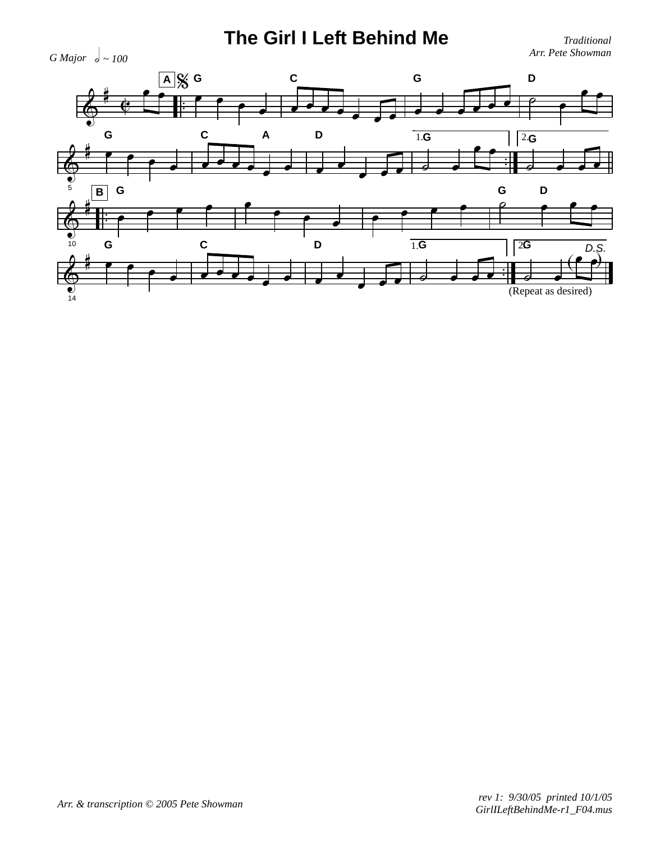# **The Girl I Left Behind Me**

*Traditional Arr. Pete Showman*



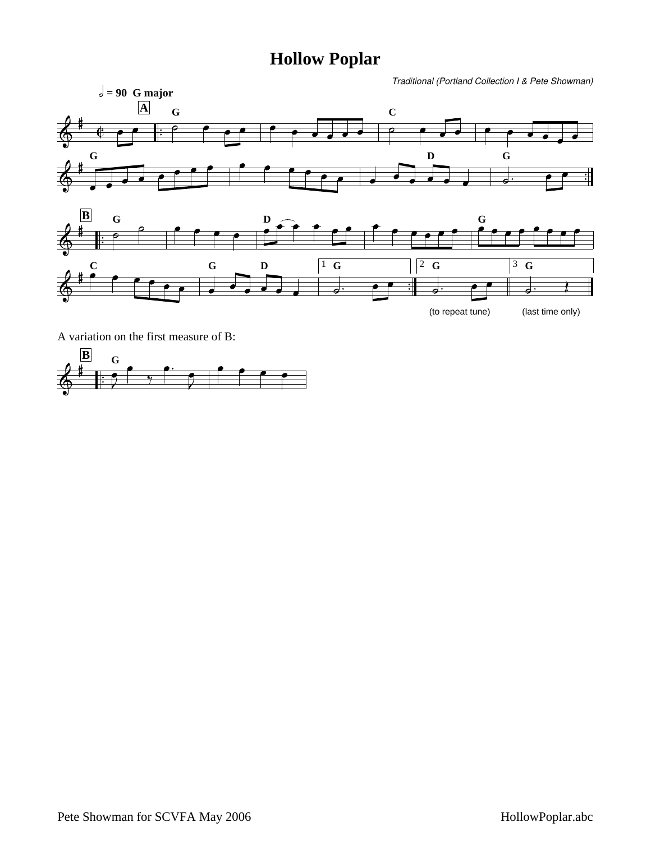## **Hollow Poplar**

*Traditional (Portland Collection I & Pete Showman)*



A variation on the first measure of B:

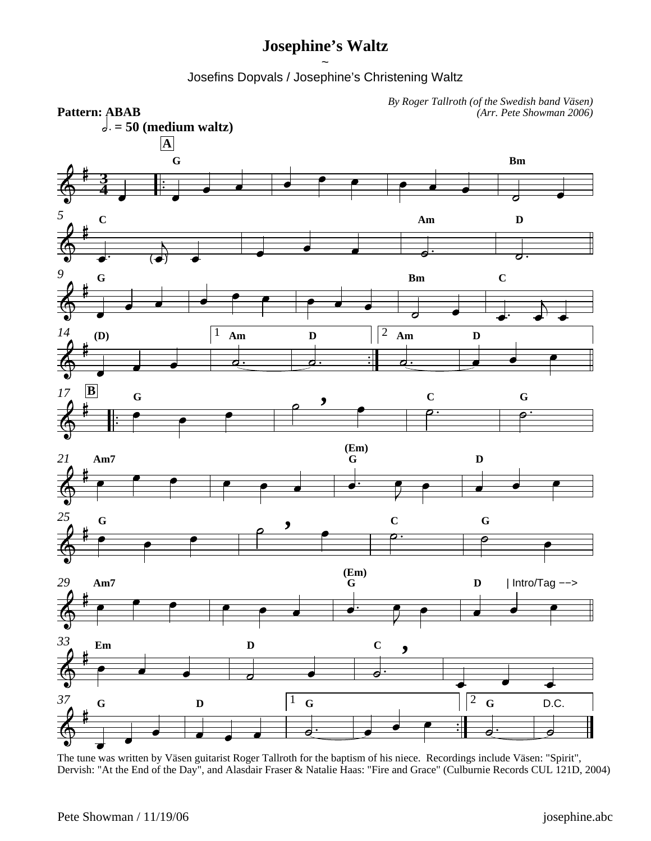### **Josephine's Waltz**

~ Josefins Dopvals / Josephine's Christening Waltz



The tune was written by Väsen guitarist Roger Tallroth for the baptism of his niece. Recordings include Väsen: "Spirit", Dervish: "At the End of the Day", and Alasdair Fraser & Natalie Haas: "Fire and Grace" (Culburnie Records CUL 121D, 2004)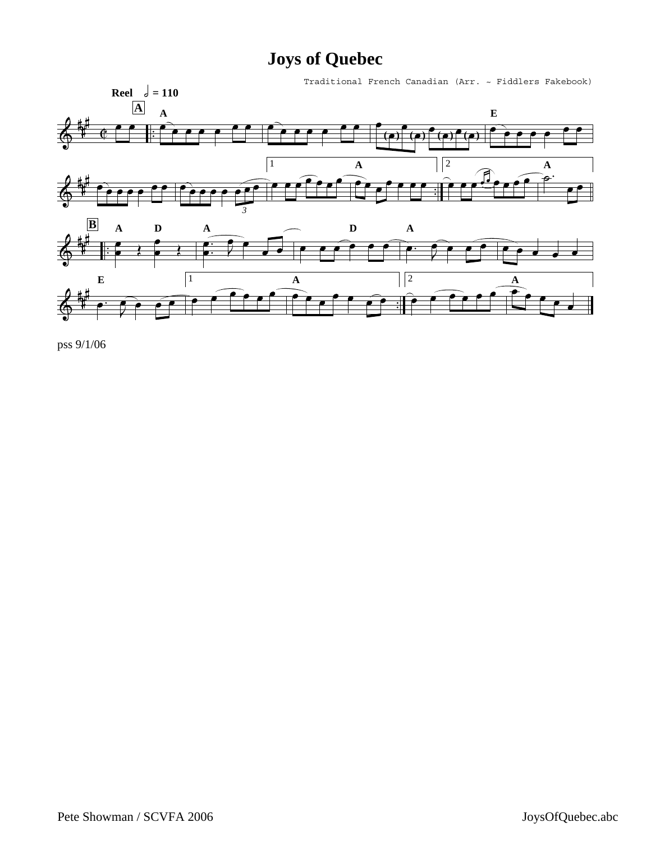# **Joys of Quebec**

Traditional French Canadian (Arr. ~ Fiddlers Fakebook)



pss 9/1/06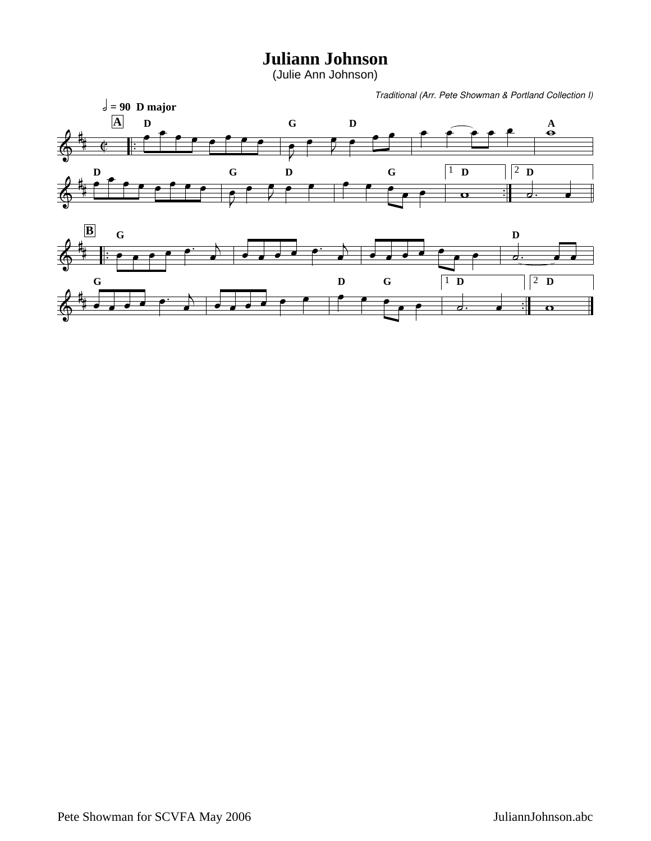## **Juliann Johnson**

(Julie Ann Johnson)

*Traditional (Arr. Pete Showman & Portland Collection I)*

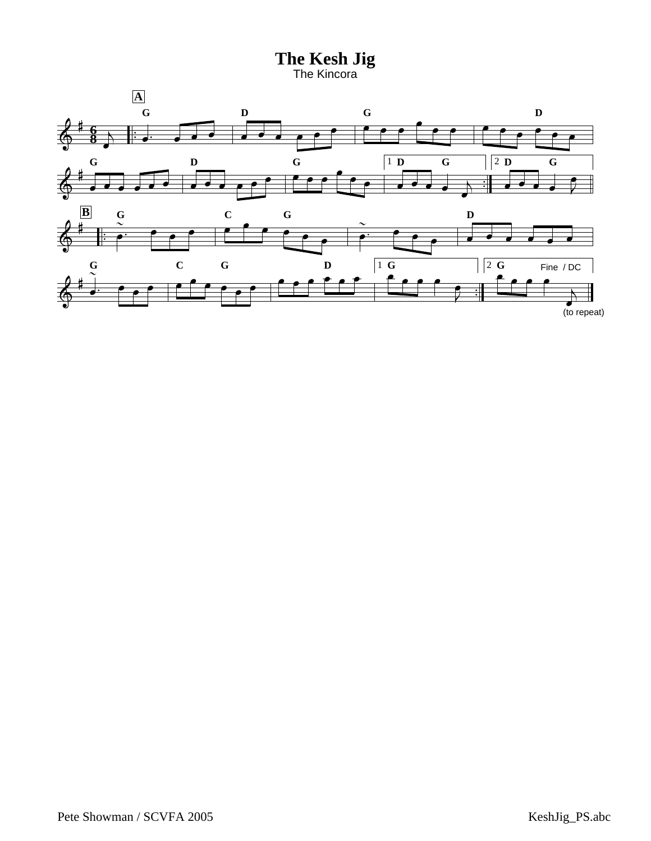**The Kesh Jig** The Kincora

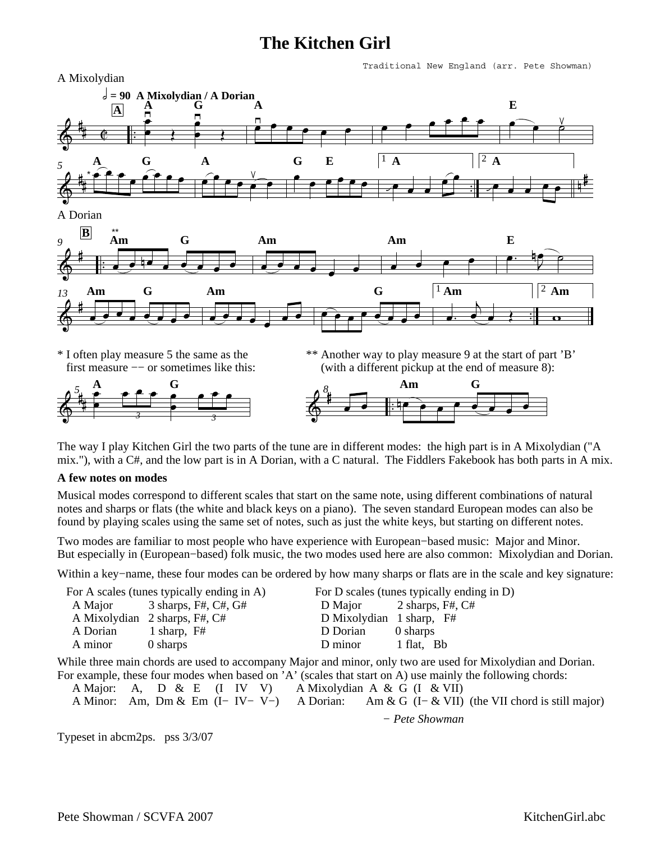### **The Kitchen Girl**

Traditional New England (arr. Pete Showman)







The way I play Kitchen Girl the two parts of the tune are in different modes: the high part is in A Mixolydian ("A mix."), with a C#, and the low part is in A Dorian, with a C natural. The Fiddlers Fakebook has both parts in A mix.

#### **A few notes on modes**

A Mixolydian

Musical modes correspond to different scales that start on the same note, using different combinations of natural notes and sharps or flats (the white and black keys on a piano). The seven standard European modes can also be found by playing scales using the same set of notes, such as just the white keys, but starting on different notes.

Two modes are familiar to most people who have experience with European−based music: Major and Minor. But especially in (European−based) folk music, the two modes used here are also common: Mixolydian and Dorian.

Within a key−name, these four modes can be ordered by how many sharps or flats are in the scale and key signature:

| For A scales (tunes typically ending in A)<br>For D scales (tunes typically ending in D) |
|------------------------------------------------------------------------------------------|
| 3 sharps, $F#$ , $C#$ , $G#$<br>2 sharps, $F#$ , $C#$<br>A Major<br>D Major              |
| A Mixolydian 2 sharps, F#, C#<br>D Mixolydian 1 sharp, $F#$                              |
| 1 sharp, $F#$<br>D Dorian<br>0 sharps<br>A Dorian                                        |
| A minor<br>1 flat, Bb<br>D minor<br>0 sharps                                             |

While three main chords are used to accompany Major and minor, only two are used for Mixolydian and Dorian. For example, these four modes when based on 'A' (scales that start on A) use mainly the following chords:

```
 A Major: A, D & E (I IV V) A Mixolydian A & G (I & VII)
A Minor: Am, Dm & Em (I− IV− V−) A Dorian: Am & G (I− & VII) (the VII chord is still major)
```
*− Pete Showman*

Typeset in abcm2ps. pss 3/3/07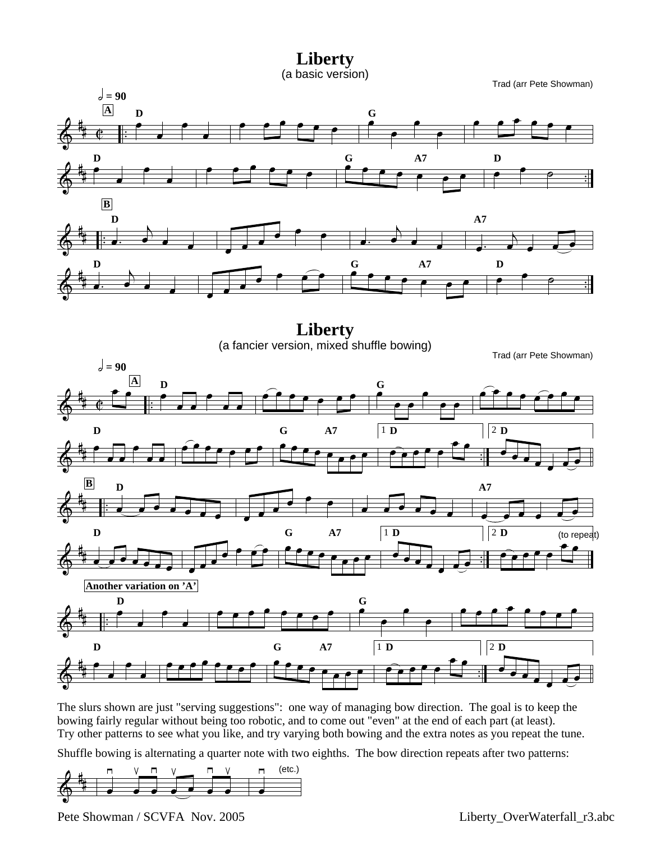#### **Liberty**

(a basic version) Trad (arr Pete Showman)  $\mathbf{A}$  **D** G



**Liberty** (a fancier version, mixed shuffle bowing) Trad (arr Pete Showman)



The slurs shown are just "serving suggestions": one way of managing bow direction. The goal is to keep the bowing fairly regular without being too robotic, and to come out "even" at the end of each part (at least). Try other patterns to see what you like, and try varying both bowing and the extra notes as you repeat the tune.

Shuffle bowing is alternating a quarter note with two eighths. The bow direction repeats after two patterns:



Pete Showman / SCVFA Nov. 2005 Liberty\_OverWaterfall\_r3.abc

 $\frac{1}{6}$  = 90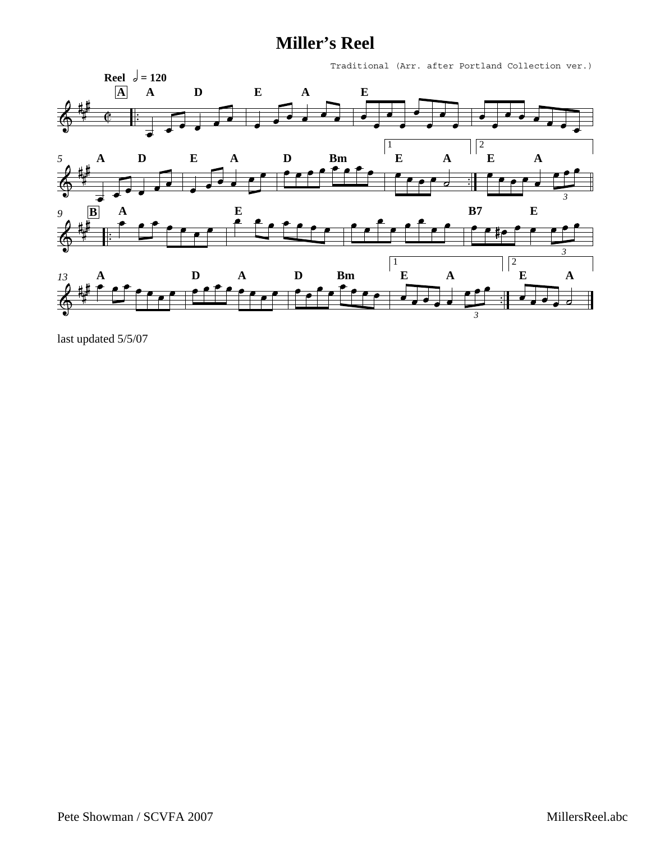## **Miller's Reel**

Traditional (Arr. after Portland Collection ver.)



last updated 5/5/07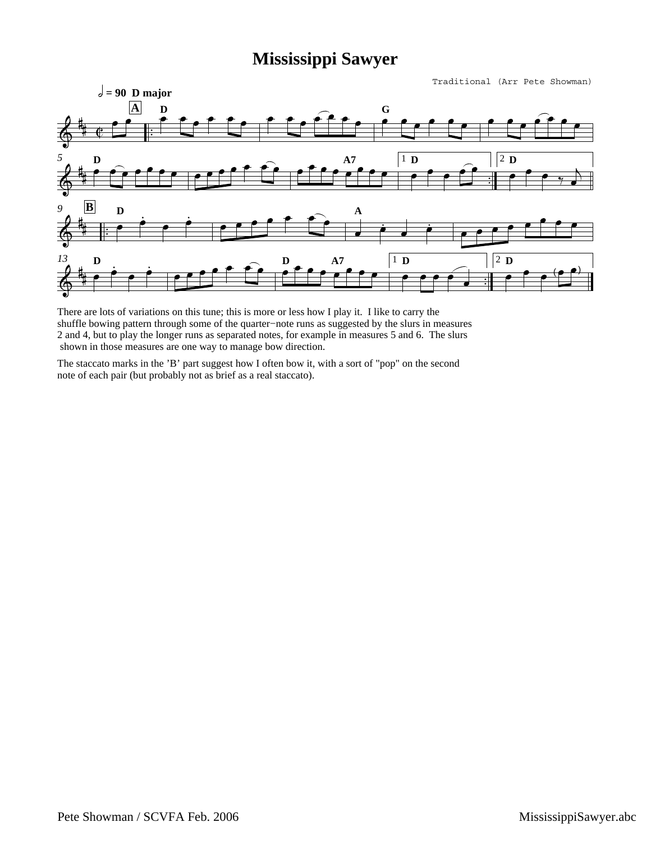### **Mississippi Sawyer**

Traditional (Arr Pete Showman)



There are lots of variations on this tune; this is more or less how I play it. I like to carry the shuffle bowing pattern through some of the quarter−note runs as suggested by the slurs in measures 2 and 4, but to play the longer runs as separated notes, for example in measures 5 and 6. The slurs shown in those measures are one way to manage bow direction.

The staccato marks in the 'B' part suggest how I often bow it, with a sort of "pop" on the second note of each pair (but probably not as brief as a real staccato).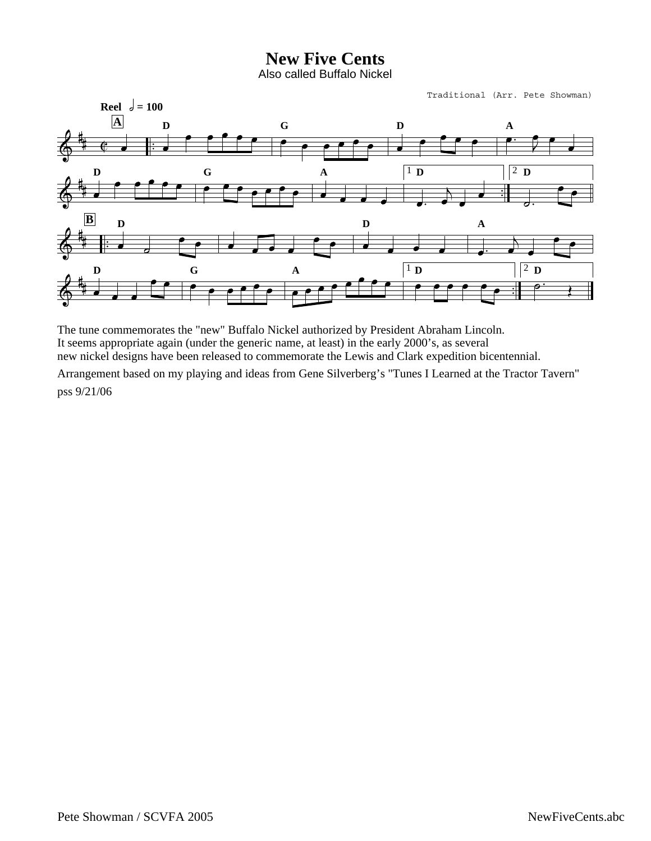### **New Five Cents**

Also called Buffalo Nickel



The tune commemorates the "new" Buffalo Nickel authorized by President Abraham Lincoln. It seems appropriate again (under the generic name, at least) in the early 2000's, as several new nickel designs have been released to commemorate the Lewis and Clark expedition bicentennial.

Arrangement based on my playing and ideas from Gene Silverberg's "Tunes I Learned at the Tractor Tavern" pss 9/21/06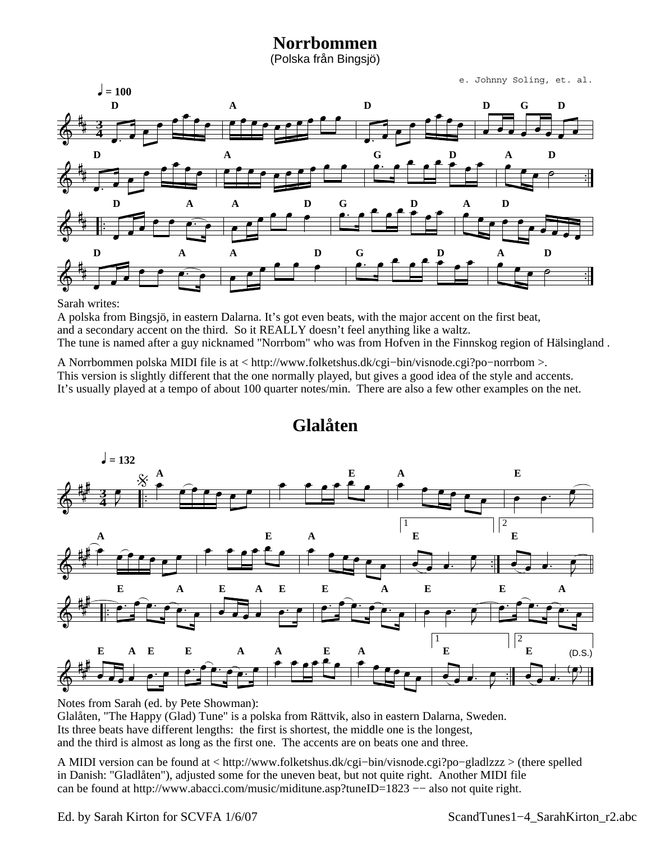# **Norrbommen**

(Polska från Bingsjö)

 $= 100$ **D A D DGD 4 3 D D A G D A D D A A DG D A D D A A DG D A D**

#### Sarah writes:

A polska from Bingsjö, in eastern Dalarna. It's got even beats, with the major accent on the first beat, and a secondary accent on the third. So it REALLY doesn't feel anything like a waltz.

The tune is named after a guy nicknamed "Norrbom" who was from Hofven in the Finnskog region of Hälsingland .

A Norrbommen polska MIDI file is at < http://www.folketshus.dk/cgi−bin/visnode.cgi?po−norrbom >. This version is slightly different that the one normally played, but gives a good idea of the style and accents. It's usually played at a tempo of about 100 quarter notes/min. There are also a few other examples on the net.



#### **Glalåten**

Notes from Sarah (ed. by Pete Showman):

Glalåten, "The Happy (Glad) Tune" is a polska from Rättvik, also in eastern Dalarna, Sweden. Its three beats have different lengths: the first is shortest, the middle one is the longest, and the third is almost as long as the first one. The accents are on beats one and three.

A MIDI version can be found at < http://www.folketshus.dk/cgi−bin/visnode.cgi?po−gladlzzz > (there spelled in Danish: "Gladlåten"), adjusted some for the uneven beat, but not quite right. Another MIDI file can be found at http://www.abacci.com/music/miditune.asp?tuneID=1823 -- also not quite right.

e. Johnny Soling, et. al.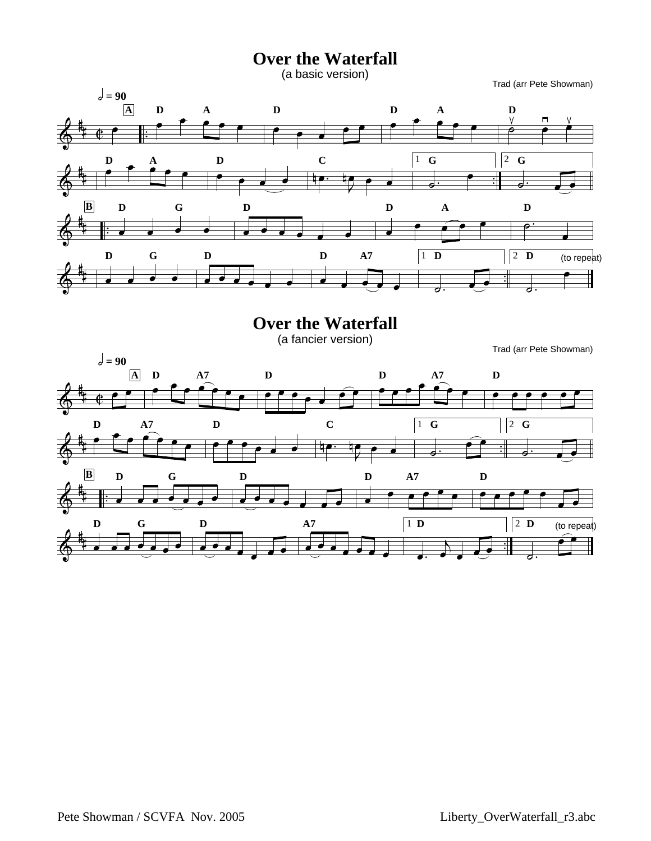**Over the Waterfall**<br>(a basic version)



# **Over the Waterfall**<br>(a fancier version)

Trad (arr Pete Showman)

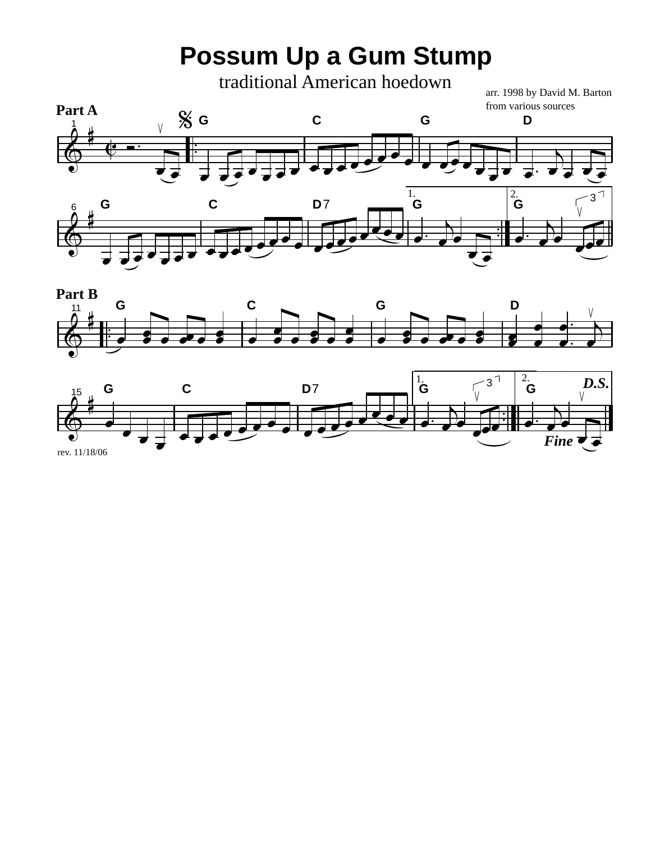# **Possum Up a Gum Stump**

traditional American hoedown

arr. 1998 by David M. Barton from various sources





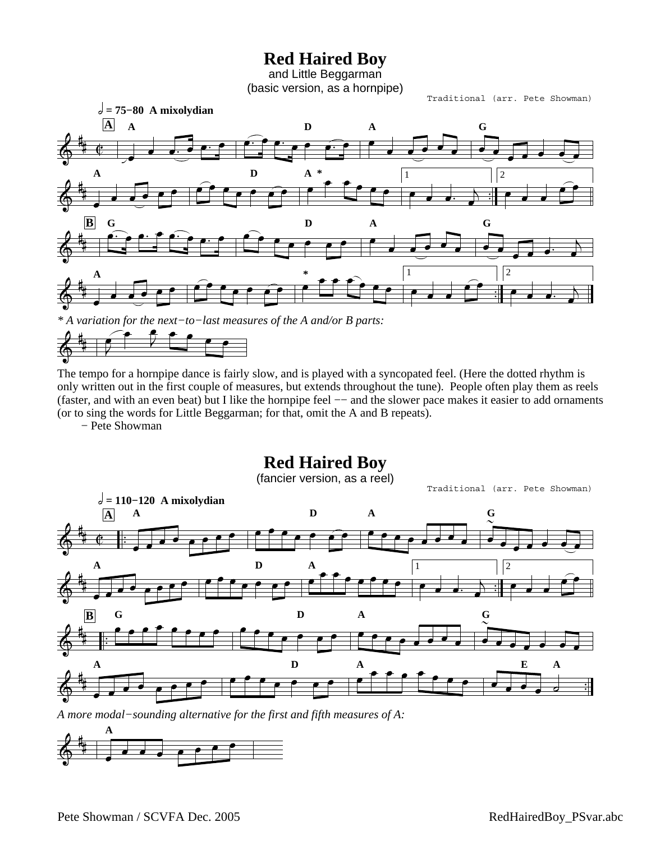#### **Red Haired Boy**

and Little Beggarman (basic version, as a hornpipe)

Traditional (arr. Pete Showman)



The tempo for a hornpipe dance is fairly slow, and is played with a syncopated feel. (Here the dotted rhythm is only written out in the first couple of measures, but extends throughout the tune). People often play them as reels (faster, and with an even beat) but I like the hornpipe feel -− and the slower pace makes it easier to add ornaments (or to sing the words for Little Beggarman; for that, omit the A and B repeats).

− Pete Showman

### **Red Haired Boy**

(fancier version, as a reel)

Traditional (arr. Pete Showman)



*A more modal−sounding alternative for the first and fifth measures of A:*

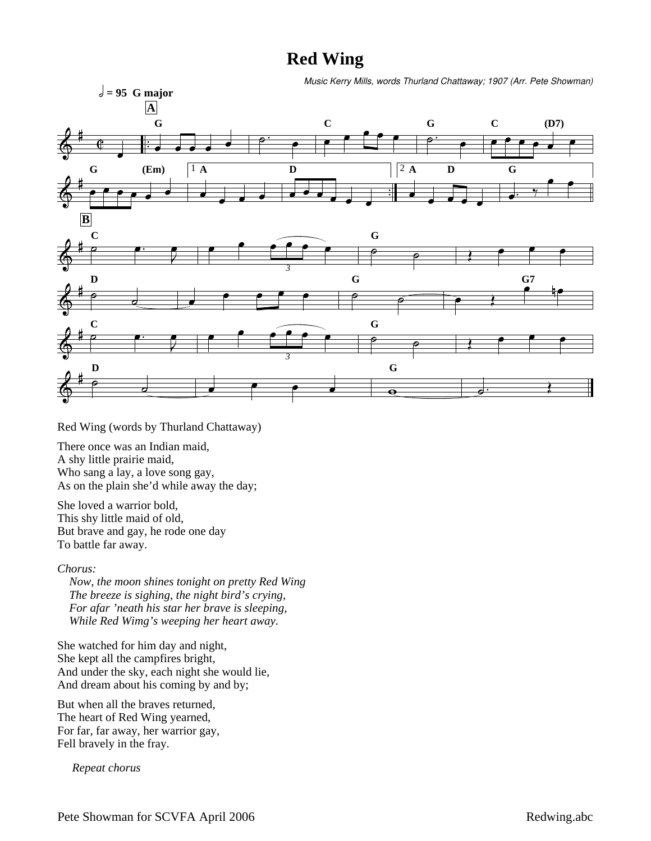#### **Red Wing**

*Music Kerry Mills, words Thurland Chattaway; 1907 (Arr. Pete Showman)*



Red Wing (words by Thurland Chattaway)

There once was an Indian maid, A shy little prairie maid, Who sang a lay, a love song gay, As on the plain she'd while away the day;

She loved a warrior bold, This shy little maid of old, But brave and gay, he rode one day To battle far away.

*Chorus:*

 *Now, the moon shines tonight on pretty Red Wing The breeze is sighing, the night bird's crying, For afar 'neath his star her brave is sleeping, While Red Wimg's weeping her heart away.*

She watched for him day and night, She kept all the campfires bright, And under the sky, each night she would lie, And dream about his coming by and by;

But when all the braves returned, The heart of Red Wing yearned, For far, far away, her warrior gay, Fell bravely in the fray.

 *Repeat chorus*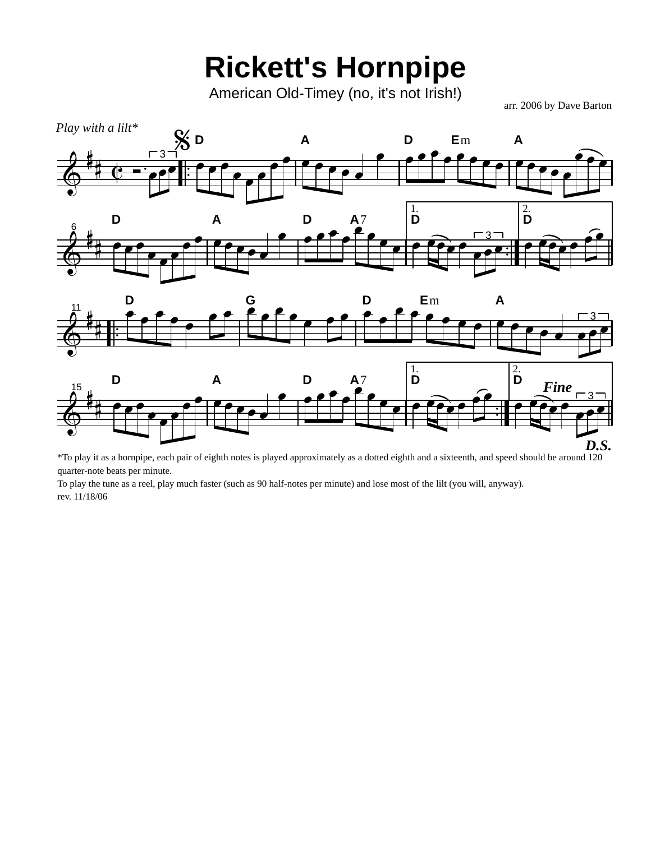# **Rickett's Hornpipe**

American Old-Timey (no, it's not Irish!)

arr. 2006 by Dave Barton



\*To play it as a hornpipe, each pair of eighth notes is played approximately as a dotted eighth and a sixteenth, and speed should be around 120 quarter-note beats per minute.

To play the tune as a reel, play much faster (such as 90 half-notes per minute) and lose most of the lilt (you will, anyway). rev. 11/18/06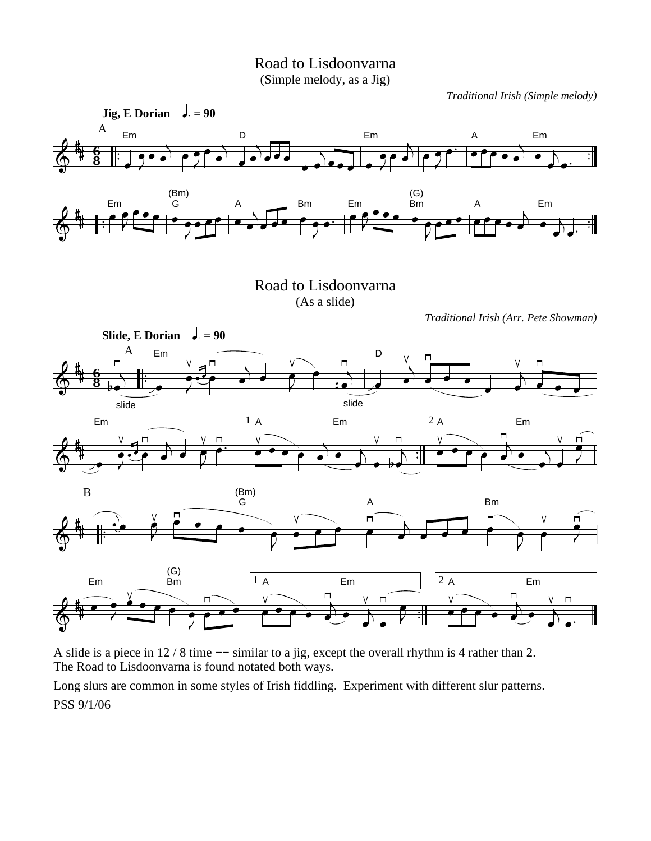Road to Lisdoonvarna (Simple melody, as a Jig)

*Traditional Irish (Simple melody)*



Road to Lisdoonvarna (As a slide)

*Traditional Irish (Arr. Pete Showman)*



A slide is a piece in 12 / 8 time −− similar to a jig, except the overall rhythm is 4 rather than 2. The Road to Lisdoonvarna is found notated both ways.

Long slurs are common in some styles of Irish fiddling. Experiment with different slur patterns. PSS 9/1/06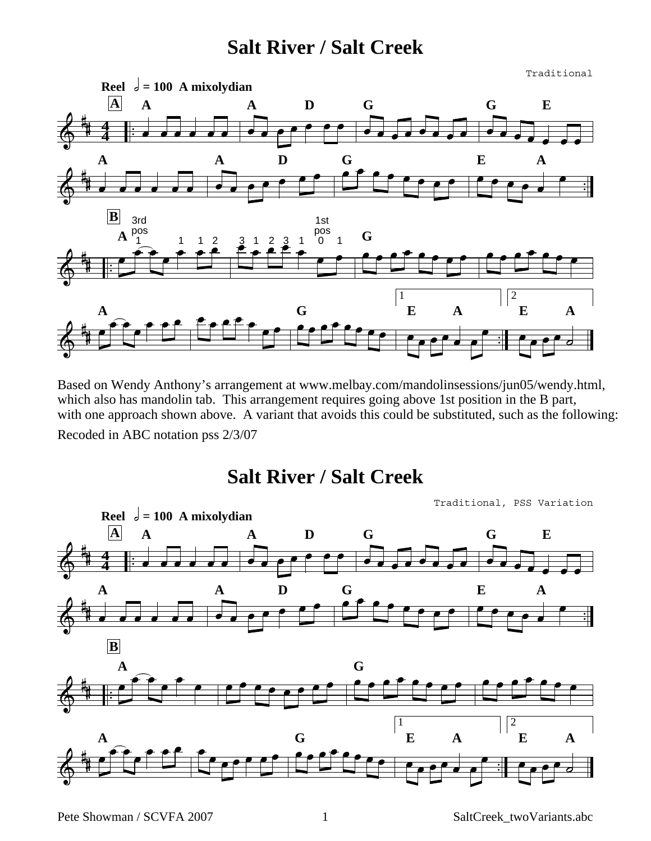# **Salt River / Salt Creek**

Traditional



Based on Wendy Anthony's arrangement at www.melbay.com/mandolinsessions/jun05/wendy.html, which also has mandolin tab. This arrangement requires going above 1st position in the B part, with one approach shown above. A variant that avoids this could be substituted, such as the following: Recoded in ABC notation pss 2/3/07

# **Salt River / Salt Creek**

Traditional, PSS Variation **Reel**  $\sqrt{ } = 100$  **A** mixolydian **A A A D G GE 4 4 A A D G E A B A G** A G EA EA  $\boxed{1}$   $\boxed{2}$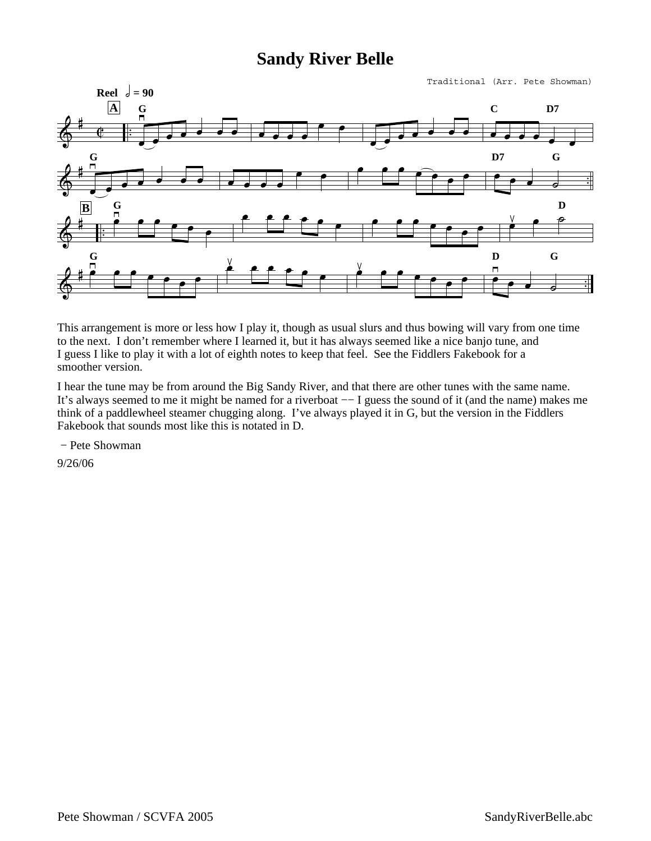### **Sandy River Belle**

Traditional (Arr. Pete Showman)



This arrangement is more or less how I play it, though as usual slurs and thus bowing will vary from one time to the next. I don't remember where I learned it, but it has always seemed like a nice banjo tune, and I guess I like to play it with a lot of eighth notes to keep that feel. See the Fiddlers Fakebook for a smoother version.

I hear the tune may be from around the Big Sandy River, and that there are other tunes with the same name. It's always seemed to me it might be named for a riverboat −− I guess the sound of it (and the name) makes me think of a paddlewheel steamer chugging along. I've always played it in G, but the version in the Fiddlers Fakebook that sounds most like this is notated in D.

− Pete Showman

9/26/06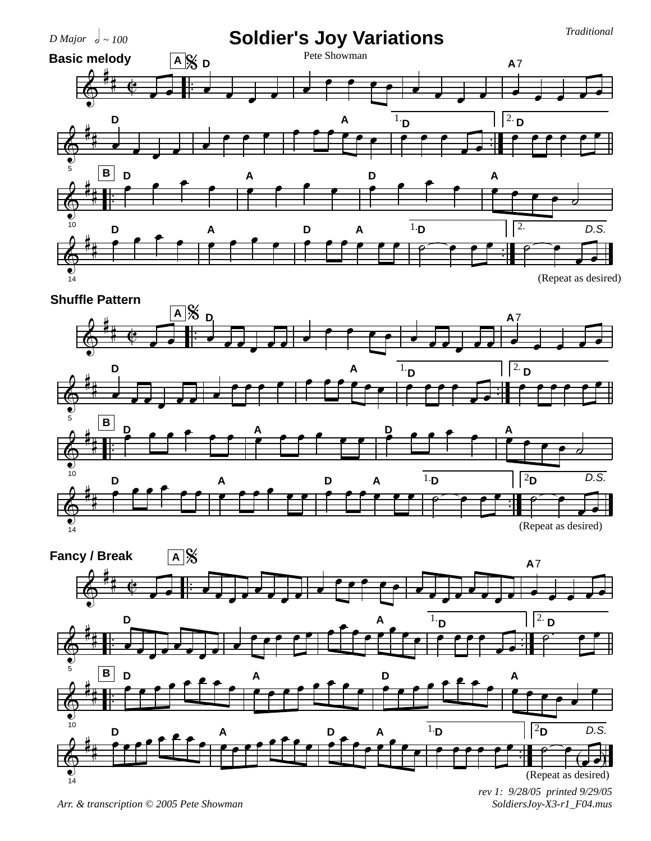





*rev 1: 9/28/05 printed 9/29/05* 

Arr. & transcription © 2005 Pete Showman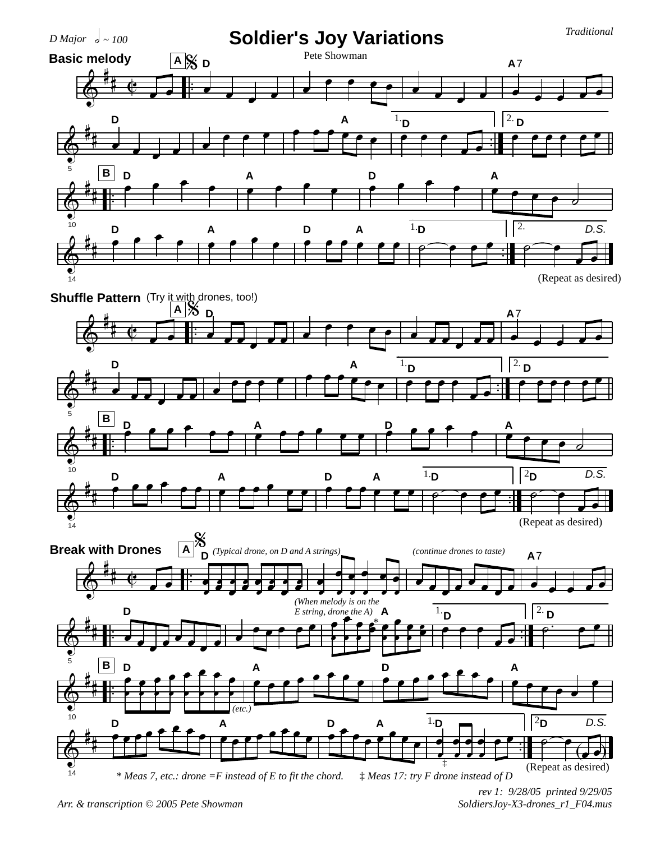

*rev 1: 9/28/05 printed 9/29/05 SoldiersJoy-X3-drones\_r1\_F04.mus*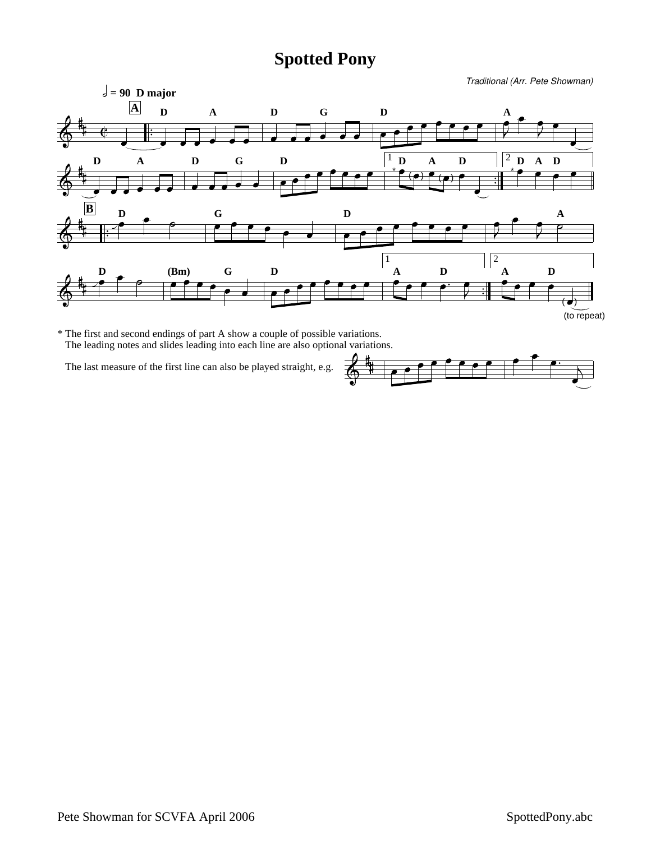# **Spotted Pony**

*Traditional (Arr. Pete Showman)*



\* The first and second endings of part A show a couple of possible variations. The leading notes and slides leading into each line are also optional variations.

The last measure of the first line can also be played straight, e.g.

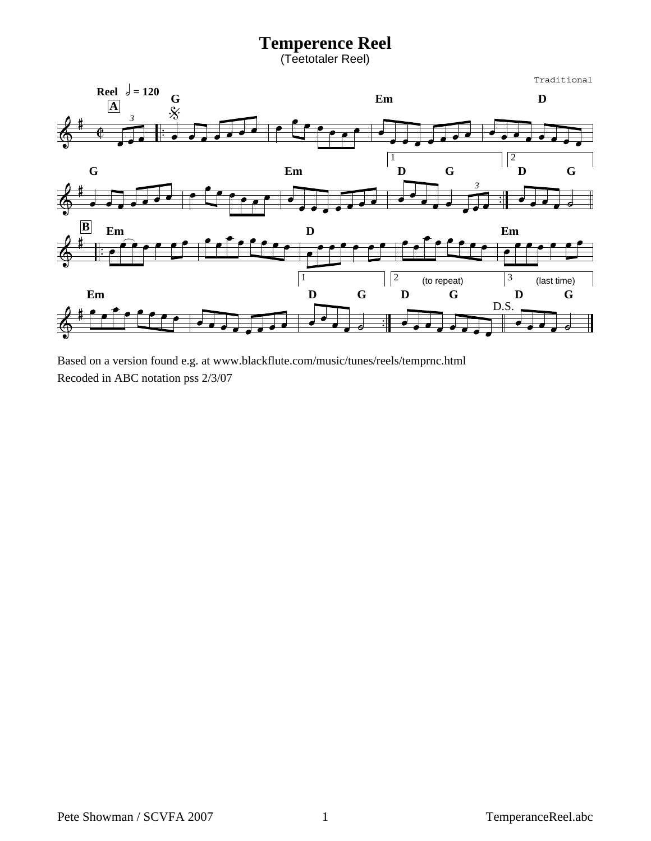# **Temperence Reel**

(Teetotaler Reel)



Based on a version found e.g. at www.blackflute.com/music/tunes/reels/temprnc.html Recoded in ABC notation pss 2/3/07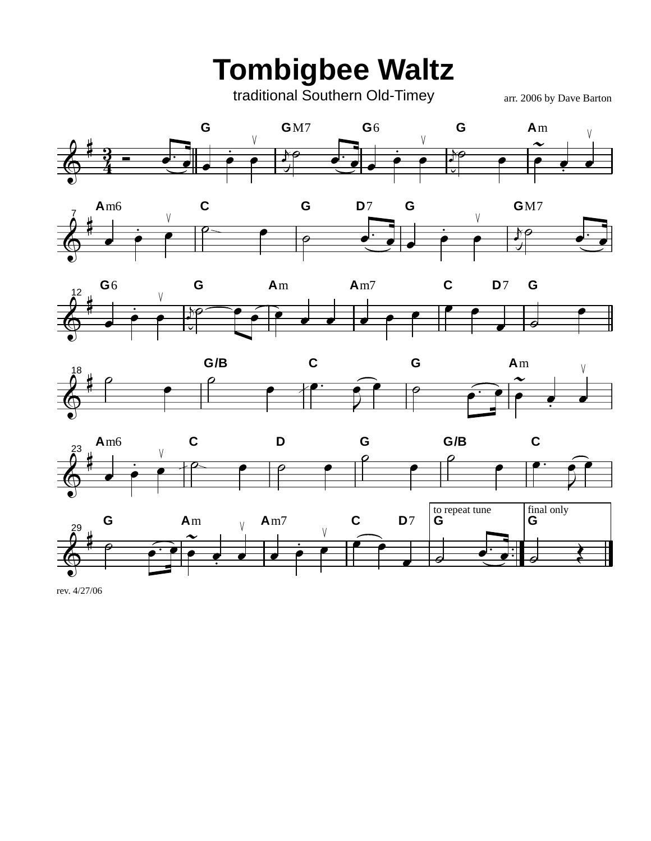# **Tombigbee Waltz**

traditional Southern Old-Timey

arr. 2006 by Dave Barton













rev. 4/27/06